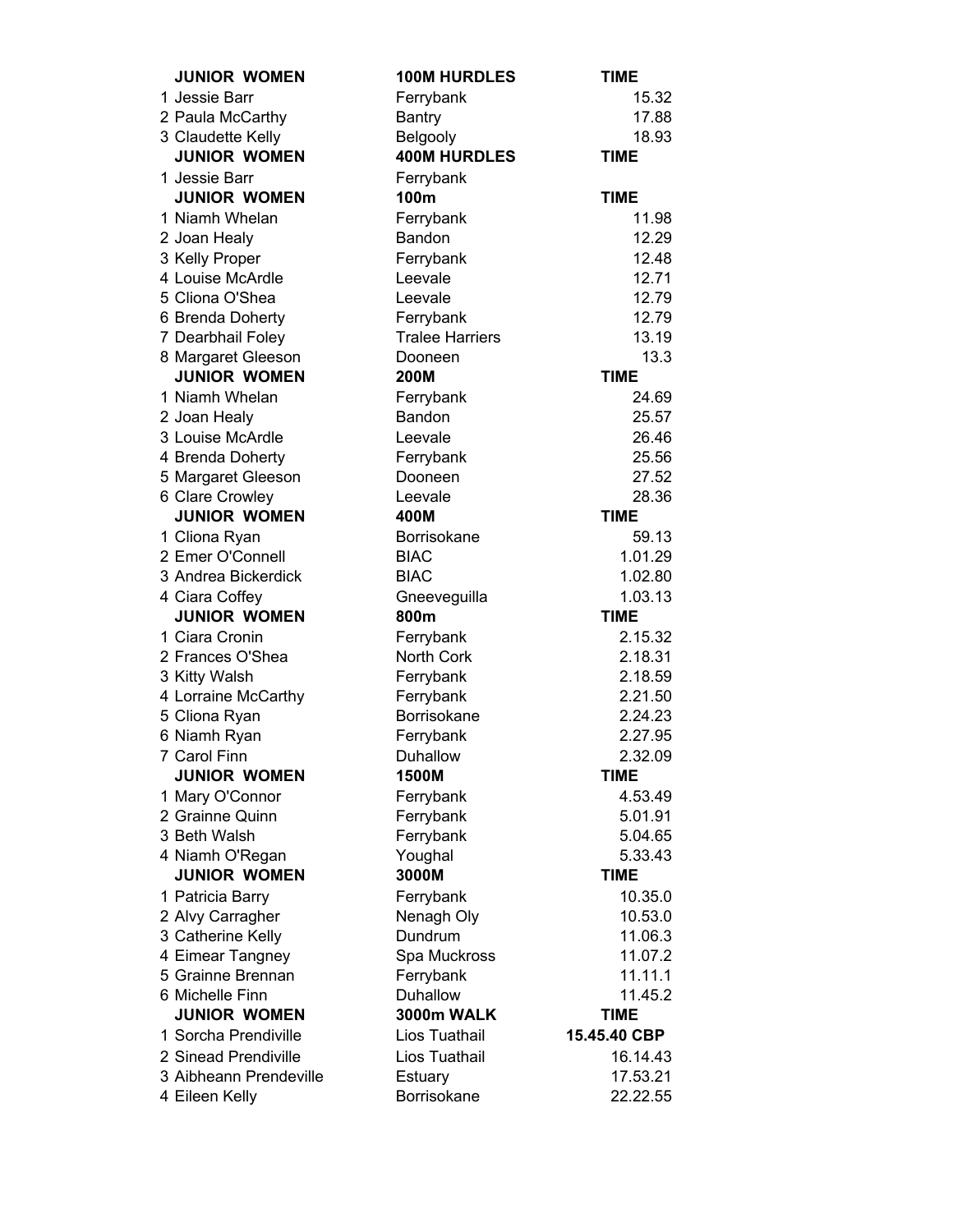| <b>JUNIOR WOMEN</b>                | <b>100M HURDLES</b>    | TIME                   |
|------------------------------------|------------------------|------------------------|
| 1 Jessie Barr                      | Ferrybank              | 15.32                  |
| 2 Paula McCarthy                   | <b>Bantry</b>          | 17.88                  |
| 3 Claudette Kelly                  | Belgooly               | 18.93                  |
| <b>JUNIOR WOMEN</b>                | <b>400M HURDLES</b>    | <b>TIME</b>            |
| 1 Jessie Barr                      | Ferrybank              |                        |
| <b>JUNIOR WOMEN</b>                | 100m                   | <b>TIME</b>            |
| 1 Niamh Whelan                     | Ferrybank              | 11.98                  |
| 2 Joan Healy                       | Bandon                 | 12.29                  |
| 3 Kelly Proper                     | Ferrybank              | 12.48                  |
| 4 Louise McArdle                   | Leevale                | 12.71                  |
| 5 Cliona O'Shea                    | Leevale                | 12.79                  |
| 6 Brenda Doherty                   | Ferrybank              | 12.79                  |
| 7 Dearbhail Foley                  | <b>Tralee Harriers</b> | 13.19                  |
| 8 Margaret Gleeson                 | Dooneen                | 13.3                   |
| <b>JUNIOR WOMEN</b>                | 200M                   | <b>TIME</b>            |
| 1 Niamh Whelan                     | Ferrybank              | 24.69                  |
| 2 Joan Healy                       | Bandon                 | 25.57                  |
| 3 Louise McArdle                   | Leevale                | 26.46                  |
| 4 Brenda Doherty                   | Ferrybank              | 25.56                  |
| 5 Margaret Gleeson                 | Dooneen                | 27.52                  |
| 6 Clare Crowley                    | Leevale                | 28.36                  |
| <b>JUNIOR WOMEN</b>                | 400M                   | <b>TIME</b>            |
| 1 Cliona Ryan                      | Borrisokane            | 59.13                  |
| 2 Emer O'Connell                   | <b>BIAC</b>            | 1.01.29                |
| 3 Andrea Bickerdick                | <b>BIAC</b>            | 1.02.80                |
| 4 Ciara Coffey                     | Gneeveguilla           | 1.03.13                |
| <b>JUNIOR WOMEN</b>                | 800m                   | <b>TIME</b>            |
| 1 Ciara Cronin                     | Ferrybank              | 2.15.32                |
| 2 Frances O'Shea                   | North Cork             | 2.18.31                |
| 3 Kitty Walsh                      | Ferrybank              | 2.18.59                |
| 4 Lorraine McCarthy                | Ferrybank              | 2.21.50                |
| 5 Cliona Ryan                      | Borrisokane            | 2.24.23                |
| 6 Niamh Ryan<br>7 Carol Finn       | Ferrybank              | 2.27.95                |
| <b>JUNIOR WOMEN</b>                | Duhallow<br>1500M      | 2.32.09<br><b>TIME</b> |
|                                    | Ferrybank              |                        |
| 1 Mary O'Connor<br>2 Grainne Quinn | Ferrybank              | 4.53.49<br>5.01.91     |
| 3 Beth Walsh                       | Ferrybank              | 5.04.65                |
| 4 Niamh O'Regan                    | Youghal                | 5.33.43                |
| <b>JUNIOR WOMEN</b>                | 3000M                  | <b>TIME</b>            |
| 1 Patricia Barry                   | Ferrybank              | 10.35.0                |
| 2 Alvy Carragher                   | Nenagh Oly             | 10.53.0                |
| 3 Catherine Kelly                  | Dundrum                | 11.06.3                |
| 4 Eimear Tangney                   | Spa Muckross           | 11.07.2                |
| 5 Grainne Brennan                  | Ferrybank              | 11.11.1                |
| 6 Michelle Finn                    | Duhallow               | 11.45.2                |
| <b>JUNIOR WOMEN</b>                | <b>3000m WALK</b>      | <b>TIME</b>            |
| 1 Sorcha Prendiville               | Lios Tuathail          | 15.45.40 CBP           |
| 2 Sinead Prendiville               | Lios Tuathail          | 16.14.43               |
| 3 Aibheann Prendeville             | Estuary                | 17.53.21               |
| 4 Eileen Kelly                     | Borrisokane            | 22.22.55               |
|                                    |                        |                        |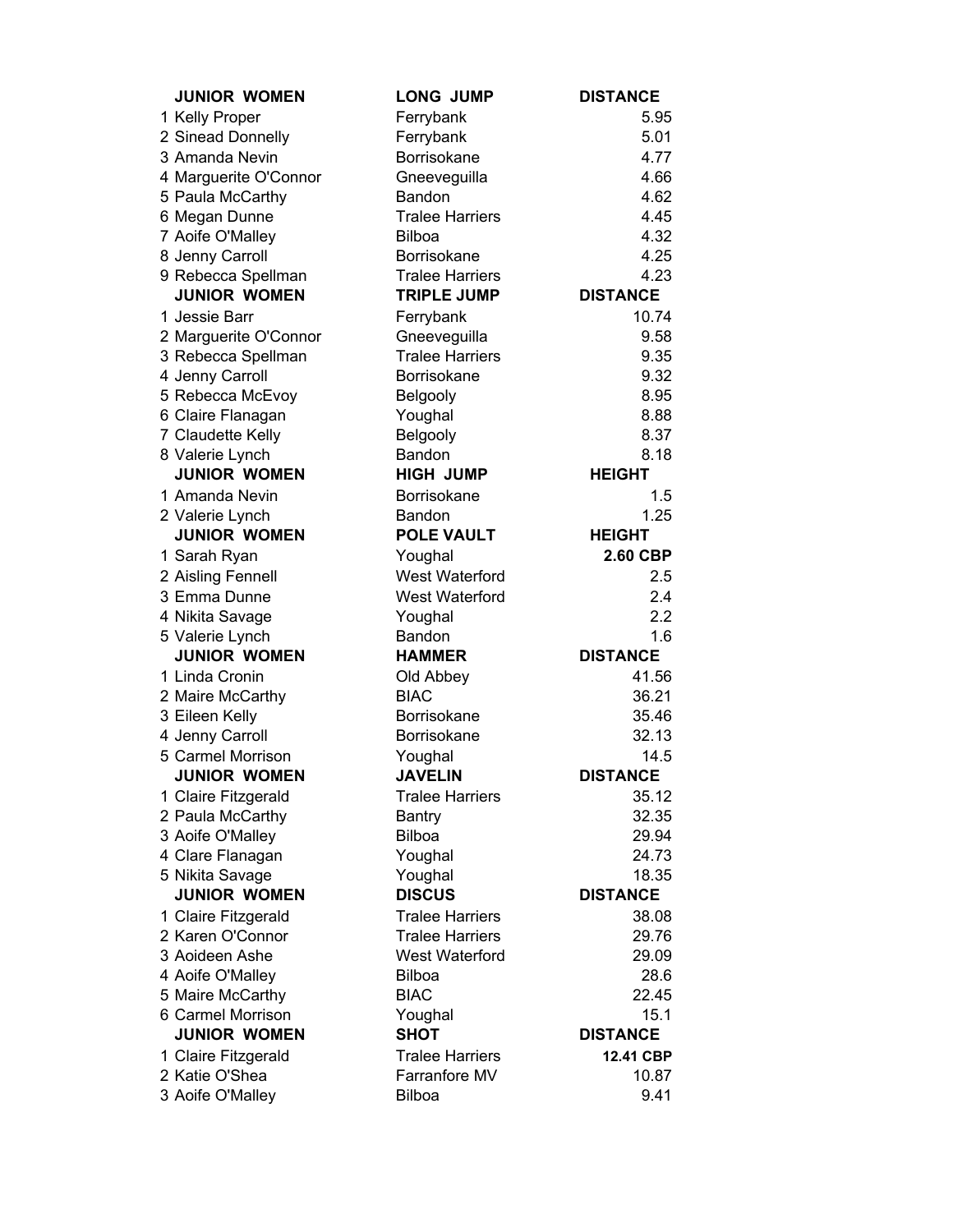| <b>JUNIOR WOMEN</b>   | <b>LONG JUMP</b>       | <b>DISTANCE</b> |
|-----------------------|------------------------|-----------------|
| 1 Kelly Proper        | Ferrybank              | 5.95            |
| 2 Sinead Donnelly     | Ferrybank              | 5.01            |
| 3 Amanda Nevin        | Borrisokane            | 4.77            |
| 4 Marguerite O'Connor | Gneeveguilla           | 4.66            |
| 5 Paula McCarthy      | Bandon                 | 4.62            |
| 6 Megan Dunne         | <b>Tralee Harriers</b> | 4.45            |
| 7 Aoife O'Malley      | <b>Bilboa</b>          | 4.32            |
| 8 Jenny Carroll       | <b>Borrisokane</b>     | 4.25            |
| 9 Rebecca Spellman    | <b>Tralee Harriers</b> | 4.23            |
| <b>JUNIOR WOMEN</b>   | <b>TRIPLE JUMP</b>     | <b>DISTANCE</b> |
| 1 Jessie Barr         | Ferrybank              | 10.74           |
| 2 Marguerite O'Connor | Gneeveguilla           | 9.58            |
| 3 Rebecca Spellman    | <b>Tralee Harriers</b> | 9.35            |
| 4 Jenny Carroll       | Borrisokane            | 9.32            |
| 5 Rebecca McEvoy      | Belgooly               | 8.95            |
| 6 Claire Flanagan     | Youghal                | 8.88            |
| 7 Claudette Kelly     | Belgooly               | 8.37            |
| 8 Valerie Lynch       | Bandon                 | 8.18            |
| <b>JUNIOR WOMEN</b>   | <b>HIGH JUMP</b>       | <b>HEIGHT</b>   |
| 1 Amanda Nevin        | <b>Borrisokane</b>     | 1.5             |
| 2 Valerie Lynch       | Bandon                 | 1.25            |
| <b>JUNIOR WOMEN</b>   | <b>POLE VAULT</b>      | <b>HEIGHT</b>   |
| 1 Sarah Ryan          | Youghal                | 2.60 CBP        |
| 2 Aisling Fennell     | West Waterford         | 2.5             |
| 3 Emma Dunne          | West Waterford         | 2.4             |
| 4 Nikita Savage       | Youghal                | 2.2             |
| 5 Valerie Lynch       | Bandon                 | 1.6             |
| <b>JUNIOR WOMEN</b>   | <b>HAMMER</b>          | <b>DISTANCE</b> |
| 1 Linda Cronin        | Old Abbey              | 41.56           |
| 2 Maire McCarthy      | <b>BIAC</b>            | 36.21           |
| 3 Eileen Kelly        | <b>Borrisokane</b>     | 35.46           |
| 4 Jenny Carroll       | <b>Borrisokane</b>     | 32.13           |
| 5 Carmel Morrison     | Youghal                | 14.5            |
| <b>JUNIOR WOMEN</b>   | <b>JAVELIN</b>         | <b>DISTANCE</b> |
| 1 Claire Fitzgerald   | <b>Tralee Harriers</b> | 35.12           |
| 2 Paula McCarthy      | <b>Bantry</b>          | 32.35           |
| 3 Aoife O'Malley      | <b>Bilboa</b>          | 29.94           |
| 4 Clare Flanagan      | Youghal                | 24.73           |
| 5 Nikita Savage       | Youghal                | 18.35           |
| <b>JUNIOR WOMEN</b>   | <b>DISCUS</b>          | <b>DISTANCE</b> |
| 1 Claire Fitzgerald   | <b>Tralee Harriers</b> | 38.08           |
| 2 Karen O'Connor      | <b>Tralee Harriers</b> | 29.76           |
| 3 Aoideen Ashe        | West Waterford         | 29.09           |
| 4 Aoife O'Malley      | <b>Bilboa</b>          | 28.6            |
| 5 Maire McCarthy      | <b>BIAC</b>            | 22.45           |
| 6 Carmel Morrison     | Youghal                | 15.1            |
| <b>JUNIOR WOMEN</b>   | <b>SHOT</b>            | <b>DISTANCE</b> |
| 1 Claire Fitzgerald   | <b>Tralee Harriers</b> | 12.41 CBP       |
| 2 Katie O'Shea        | Farranfore MV          | 10.87           |
| 3 Aoife O'Malley      | <b>Bilboa</b>          | 9.41            |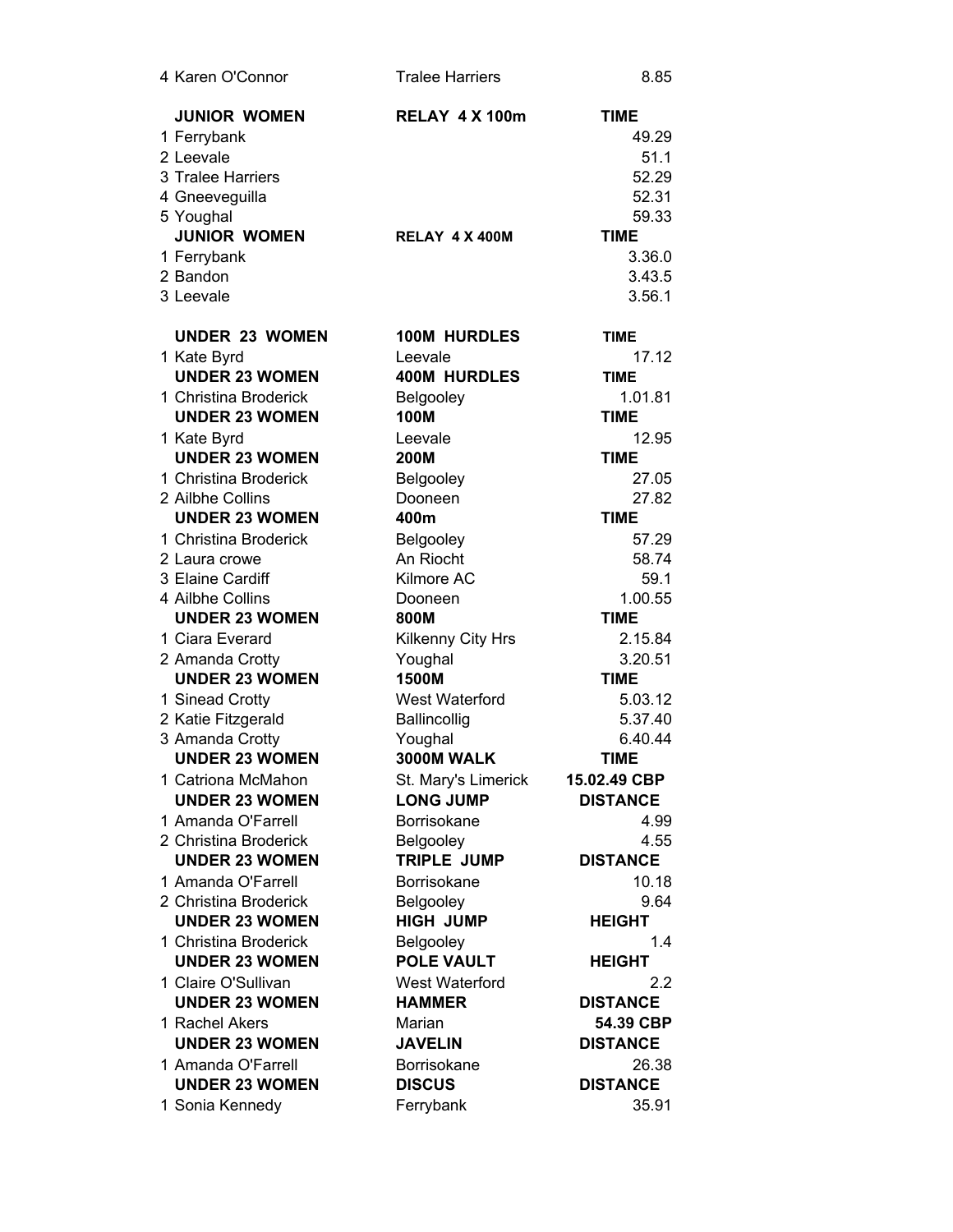| 4 Karen O'Connor                     | <b>Tralee Harriers</b>         | 8.85                 |
|--------------------------------------|--------------------------------|----------------------|
| <b>JUNIOR WOMEN</b>                  | <b>RELAY 4 X 100m</b>          | <b>TIME</b>          |
| 1 Ferrybank                          |                                | 49.29                |
| 2 Leevale                            |                                | 51.1                 |
| 3 Tralee Harriers                    |                                | 52.29                |
| 4 Gneeveguilla                       |                                | 52.31                |
| 5 Youghal                            |                                | 59.33                |
| <b>JUNIOR WOMEN</b>                  | RELAY 4 X 400M                 | <b>TIME</b>          |
| 1 Ferrybank                          |                                | 3.36.0               |
| 2 Bandon                             |                                | 3.43.5               |
| 3 Leevale                            |                                | 3.56.1               |
| <b>UNDER 23 WOMEN</b>                | 100M HURDLES                   |                      |
|                                      |                                | <b>TIME</b>          |
| 1 Kate Byrd<br><b>UNDER 23 WOMEN</b> | Leevale<br><b>400M HURDLES</b> | 17.12<br><b>TIME</b> |
| 1 Christina Broderick                |                                | 1.01.81              |
| <b>UNDER 23 WOMEN</b>                | Belgooley<br><b>100M</b>       | <b>TIME</b>          |
|                                      |                                |                      |
| 1 Kate Byrd<br><b>UNDER 23 WOMEN</b> | Leevale<br>200M                | 12.95<br><b>TIME</b> |
| 1 Christina Broderick                | Belgooley                      | 27.05                |
| 2 Ailbhe Collins                     | Dooneen                        | 27.82                |
| <b>UNDER 23 WOMEN</b>                | 400m                           | <b>TIME</b>          |
| 1 Christina Broderick                |                                | 57.29                |
| 2 Laura crowe                        | Belgooley<br>An Riocht         | 58.74                |
| 3 Elaine Cardiff                     | Kilmore AC                     | 59.1                 |
| 4 Ailbhe Collins                     | Dooneen                        | 1.00.55              |
| <b>UNDER 23 WOMEN</b>                | 800M                           | <b>TIME</b>          |
| 1 Ciara Everard                      | Kilkenny City Hrs              | 2.15.84              |
| 2 Amanda Crotty                      | Youghal                        | 3.20.51              |
| <b>UNDER 23 WOMEN</b>                | 1500M                          | <b>TIME</b>          |
| 1 Sinead Crotty                      | <b>West Waterford</b>          | 5.03.12              |
| 2 Katie Fitzgerald                   | Ballincollig                   | 5.37.40              |
| 3 Amanda Crotty                      | Youghal                        | 6.40.44              |
| <b>UNDER 23 WOMEN</b>                | 3000M WALK                     | <b>TIME</b>          |
| 1 Catriona McMahon                   | St. Mary's Limerick            | 15.02.49 CBP         |
| <b>UNDER 23 WOMEN</b>                | <b>LONG JUMP</b>               | <b>DISTANCE</b>      |
| 1 Amanda O'Farrell                   | Borrisokane                    | 4.99                 |
| 2 Christina Broderick                | Belgooley                      | 4.55                 |
| <b>UNDER 23 WOMEN</b>                | <b>TRIPLE JUMP</b>             | <b>DISTANCE</b>      |
| 1 Amanda O'Farrell                   | Borrisokane                    | 10.18                |
| 2 Christina Broderick                | Belgooley                      | 9.64                 |
| <b>UNDER 23 WOMEN</b>                | <b>HIGH JUMP</b>               | <b>HEIGHT</b>        |
| 1 Christina Broderick                | Belgooley                      | 1.4                  |
| <b>UNDER 23 WOMEN</b>                | <b>POLE VAULT</b>              | <b>HEIGHT</b>        |
| 1 Claire O'Sullivan                  | West Waterford                 | 2.2                  |
| <b>UNDER 23 WOMEN</b>                | <b>HAMMER</b>                  | <b>DISTANCE</b>      |
| 1 Rachel Akers                       | Marian                         | 54.39 CBP            |
| <b>UNDER 23 WOMEN</b>                | <b>JAVELIN</b>                 | <b>DISTANCE</b>      |
| 1 Amanda O'Farrell                   | Borrisokane                    | 26.38                |
| <b>UNDER 23 WOMEN</b>                | <b>DISCUS</b>                  | <b>DISTANCE</b>      |
| 1 Sonia Kennedy                      | Ferrybank                      | 35.91                |
|                                      |                                |                      |